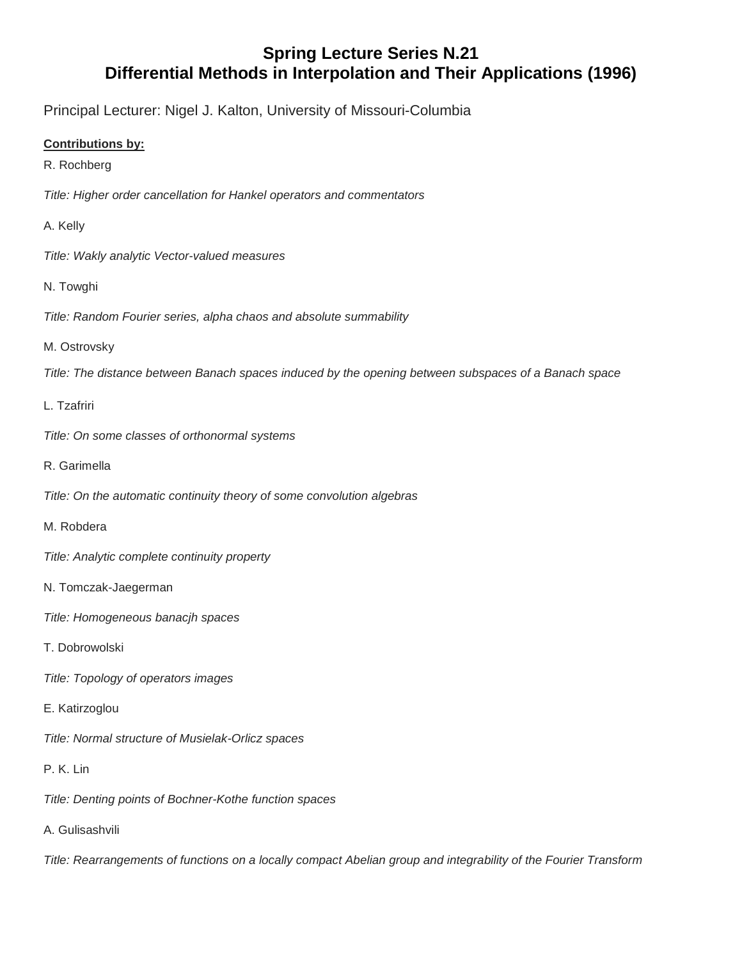## **Spring Lecture Series N.21 Differential Methods in Interpolation and Their Applications (1996)**

Principal Lecturer: Nigel J. Kalton, University of Missouri-Columbia

## **Contributions by:**

R. Rochberg

*Title: Higher order cancellation for Hankel operators and commentators*

A. Kelly

*Title: Wakly analytic Vector-valued measures*

- N. Towghi
- *Title: Random Fourier series, alpha chaos and absolute summability*

## M. Ostrovsky

*Title: The distance between Banach spaces induced by the opening between subspaces of a Banach space*

## L. Tzafriri

- *Title: On some classes of orthonormal systems*
- R. Garimella

*Title: On the automatic continuity theory of some convolution algebras*

- M. Robdera
- *Title: Analytic complete continuity property*
- N. Tomczak-Jaegerman
- *Title: Homogeneous banacjh spaces*
- T. Dobrowolski
- *Title: Topology of operators images*
- E. Katirzoglou
- *Title: Normal structure of Musielak-Orlicz spaces*
- P. K. Lin
- *Title: Denting points of Bochner-Kothe function spaces*
- A. Gulisashvili

*Title: Rearrangements of functions on a locally compact Abelian group and integrability of the Fourier Transform*